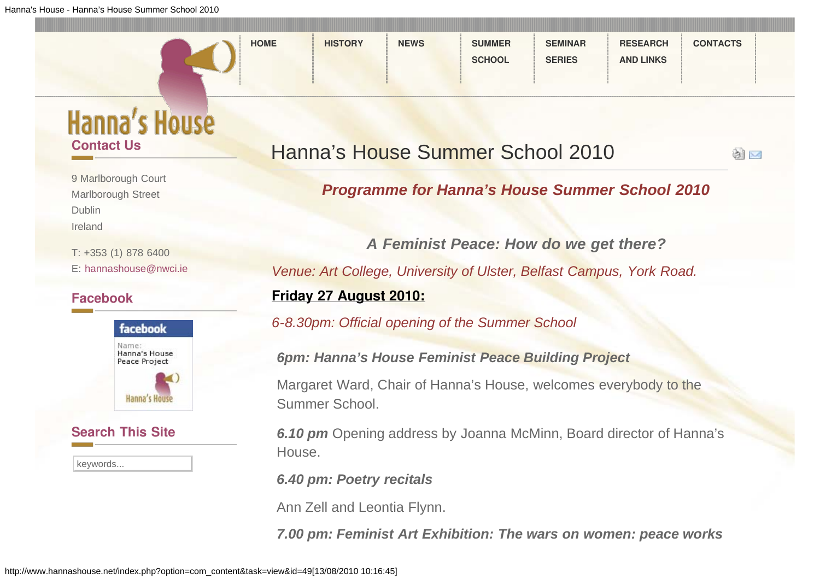| <b>HOME</b> | <b>HISTORY</b> | <b>NEWS</b> | <b>SUMMER</b> | <b>SEMINAR</b> | <b>RESEARCH</b>  | <b>CONTACTS</b> |  |
|-------------|----------------|-------------|---------------|----------------|------------------|-----------------|--|
|             |                |             | <b>SCHOOL</b> | <b>SERIES</b>  | <b>AND LINKS</b> |                 |  |

# **Hanna's House Contact Us**

9 Marlborough Court Marlborough Street Dublin **Ireland** 

T: +353 (1) 878 6400 E: [hannashouse@nwci.ie](mailto:hannashouse@nwci.ie)

# **Facebook**



# **Search This Site**

keywords...

# Hanna's House Summer School 2010

e M

# *Programme for Hanna's House Summer School 2010*

*A Feminist Peace: How do we get there?*

*Venue: Art College, University of Ulster, Belfast Campus, York Road.*

### **Friday 27 August 2010:**

*6-8.30pm: Official opening of the Summer School*

### *6pm: Hanna's House Feminist Peace Building Project*

Margaret Ward, Chair of Hanna's House, welcomes everybody to the Summer School.

*6.10 pm* Opening address by Joanna McMinn, Board director of Hanna's House.

*6.40 pm: Poetry recitals*

Ann Zell and Leontia Flynn.

*7.00 pm: Feminist Art Exhibition: The wars on women: peace works*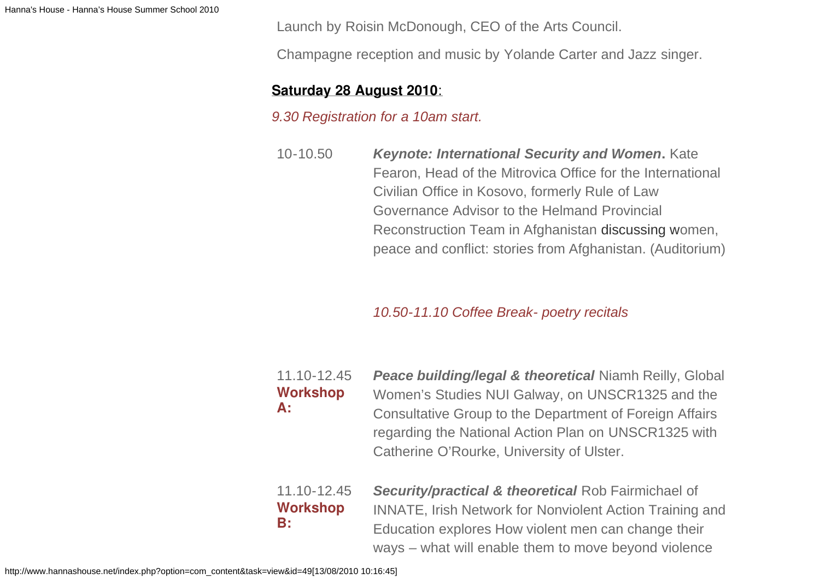Launch by Roisin McDonough, CEO of the Arts Council.

Champagne reception and music by Yolande Carter and Jazz singer.

#### **Saturday 28 August 2010**:

#### *9.30 Registration for a 10am start.*

10-10.50 *Keynote: International Security and Women***.** Kate Fearon, Head of the Mitrovica Office for the International Civilian Office in Kosovo, formerly Rule of Law Governance Advisor to the Helmand Provincial Reconstruction Team in Afghanistan discussing women, peace and conflict: stories from Afghanistan. (Auditorium)

#### *10.50-11.10 Coffee Break- poetry recitals*

## 11.10-12.45 **Workshop A:**

*Peace building/legal & theoretical* Niamh Reilly, Global Women's Studies NUI Galway, on UNSCR1325 and the Consultative Group to the Department of Foreign Affairs regarding the National Action Plan on UNSCR1325 with Catherine O'Rourke, University of Ulster.

11.10-12.45 **Workshop B:**

*Security/practical & theoretical* Rob Fairmichael of INNATE, Irish Network for Nonviolent Action Training and Education explores How violent men can change their ways – what will enable them to move beyond violence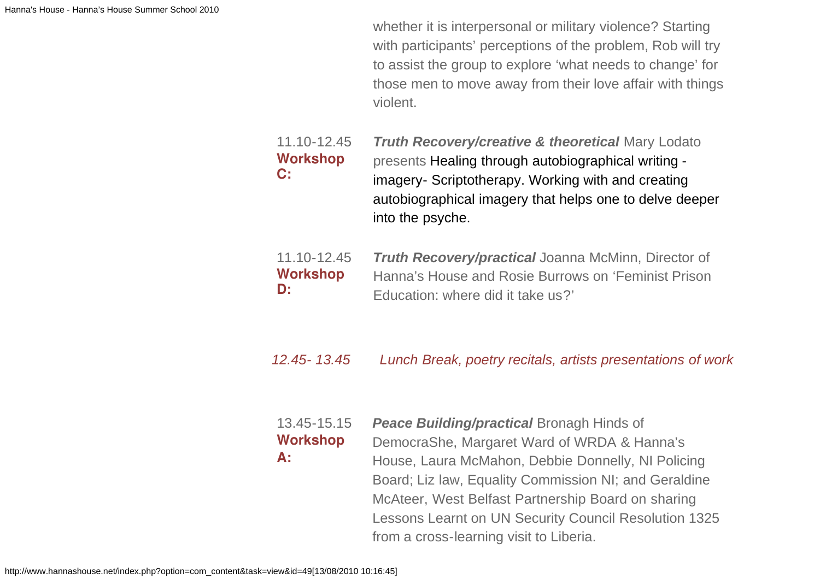whether it is interpersonal or military violence? Starting with participants' perceptions of the problem, Rob will try to assist the group to explore 'what needs to change' for those men to move away from their love affair with things violent.

11.10-12.45 **Workshop C:** *Truth Recovery/creative & theoretical* Mary Lodato presents Healing through autobiographical writing imagery- Scriptotherapy. Working with and creating autobiographical imagery that helps one to delve deeper into the psyche.

| 11.10-12.45 | <b>Truth Recovery/practical Joanna McMinn, Director of</b> |
|-------------|------------------------------------------------------------|
| Workshop    | Hanna's House and Rosie Burrows on 'Feminist Prison        |
| D:          | Education: where did it take us?'                          |

#### *12.45- 13.45 Lunch Break, poetry recitals, artists presentations of work*

| 13.45-15.15 | <b>Peace Building/practical Bronagh Hinds of</b>      |
|-------------|-------------------------------------------------------|
| Workshop    | DemocraShe, Margaret Ward of WRDA & Hanna's           |
| А:          | House, Laura McMahon, Debbie Donnelly, NI Policing    |
|             | Board; Liz law, Equality Commission NI; and Geraldine |
|             | McAteer, West Belfast Partnership Board on sharing    |
|             | Lessons Learnt on UN Security Council Resolution 1325 |
|             | from a cross-learning visit to Liberia.               |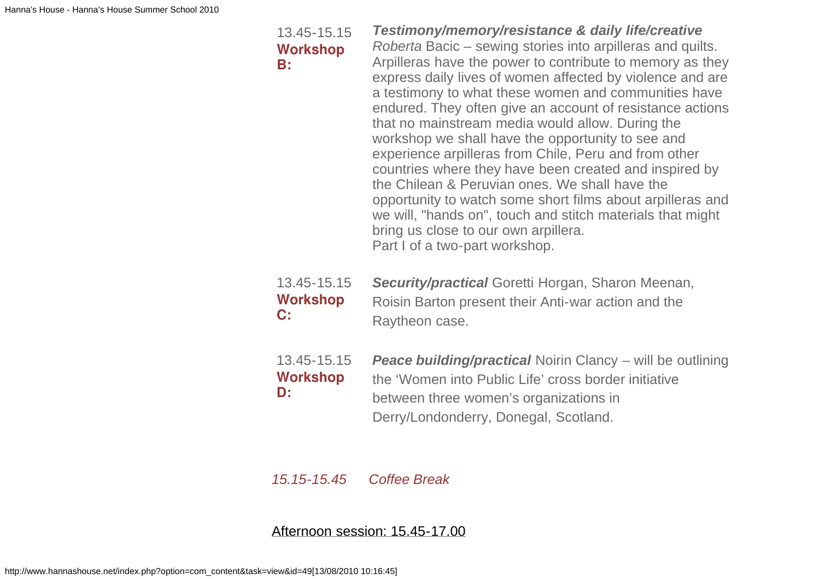| 13.45-15.15 |  |
|-------------|--|
| Workshop    |  |
| В:          |  |

*Testimony/memory/resistance & daily life/creative Roberta* Bacic – sewing stories into arpilleras and quilts. Arpilleras have the power to contribute to memory as they express daily lives of women affected by violence and are a testimony to what these women and communities have endured. They often give an account of resistance actions that no mainstream media would allow. During the workshop we shall have the opportunity to see and experience arpilleras from Chile, Peru and from other countries where they have been created and inspired by the Chilean & Peruvian ones. We shall have the opportunity to watch some short films about arpilleras and we will, "hands on", touch and stitch materials that might bring us close to our own arpillera. Part I of a two-part workshop.

- 13.45-15.15 **Workshop C:** *Security/practical* Goretti Horgan, Sharon Meenan, Roisin Barton present their Anti-war action and the Raytheon case.
- 13.45-15.15 **Workshop D:** *Peace building/practical* Noirin Clancy – will be outlining the 'Women into Public Life' cross border initiative between three women's organizations in Derry/Londonderry, Donegal, Scotland.

# *15.15-15.45 Coffee Break*

#### Afternoon session: 15.45-17.00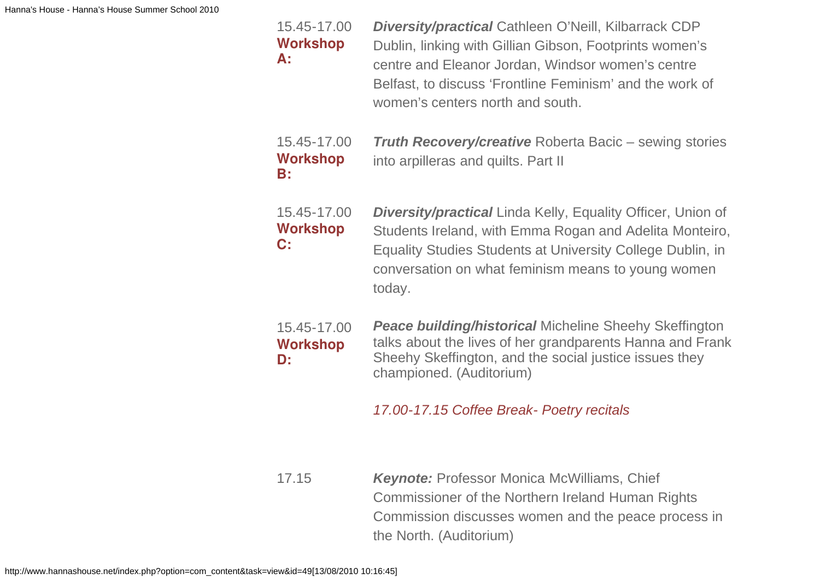**A:**

**C:**

15.45-17.00 **Workshop** *Diversity/practical* Cathleen O'Neill, Kilbarrack CDP Dublin, linking with Gillian Gibson, Footprints women's centre and Eleanor Jordan, Windsor women's centre Belfast, to discuss 'Frontline Feminism' and the work of women's centers north and south.

| 15.45-17.00           | <b>Truth Recovery/creative Roberta Bacic – sewing stories</b> |
|-----------------------|---------------------------------------------------------------|
| Workshop<br><b>B:</b> | into arpilleras and quilts. Part II                           |

15.45-17.00 **Workshop** *Diversity/practical* Linda Kelly, Equality Officer, Union of Students Ireland, with Emma Rogan and Adelita Monteiro, Equality Studies Students at University College Dublin, in conversation on what feminism means to young women today.

15.45-17.00 **Workshop D:** *Peace building/historical* Micheline Sheehy Skeffington talks about the lives of her grandparents Hanna and Frank Sheehy Skeffington, and the social justice issues they championed. (Auditorium)

*17.00-17.15 Coffee Break- Poetry recitals*

17.15 *Keynote:* Professor Monica McWilliams, Chief Commissioner of the Northern Ireland Human Rights Commission discusses women and the peace process in the North. (Auditorium)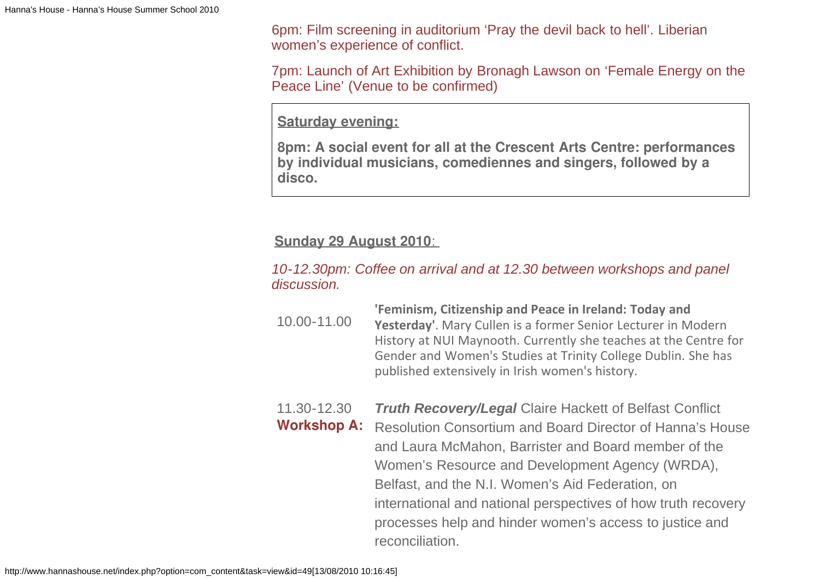6pm: Film screening in auditorium 'Pray the devil back to hell'. Liberian women's experience of conflict.

7pm: Launch of Art Exhibition by Bronagh Lawson on 'Female Energy on the Peace Line' (Venue to be confirmed)

**Saturday evening:**

**8pm: A social event for all at the Crescent Arts Centre: performances by individual musicians, comediennes and singers, followed by a disco.**

**Sunday 29 August 2010**:

*10-12.30pm: Coffee on arrival and at 12.30 between workshops and panel discussion.*

- 10.00-11.00 **'Feminism, Citizenship and Peace in Ireland: Today and Yesterday'**. Mary Cullen is a former Senior Lecturer in Modern History at NUI Maynooth. Currently she teaches at the Centre for Gender and Women's Studies at Trinity College Dublin. She has published extensively in Irish women's history.
- 11.30-12.30 **Workshop A:** Resolution Consortium and Board Director of Hanna's House *Truth Recovery/Legal* Claire Hackett of Belfast Conflict and Laura McMahon, Barrister and Board member of the Women's Resource and Development Agency (WRDA), Belfast, and the N.I. Women's Aid Federation, on international and national perspectives of how truth recovery processes help and hinder women's access to justice and reconciliation.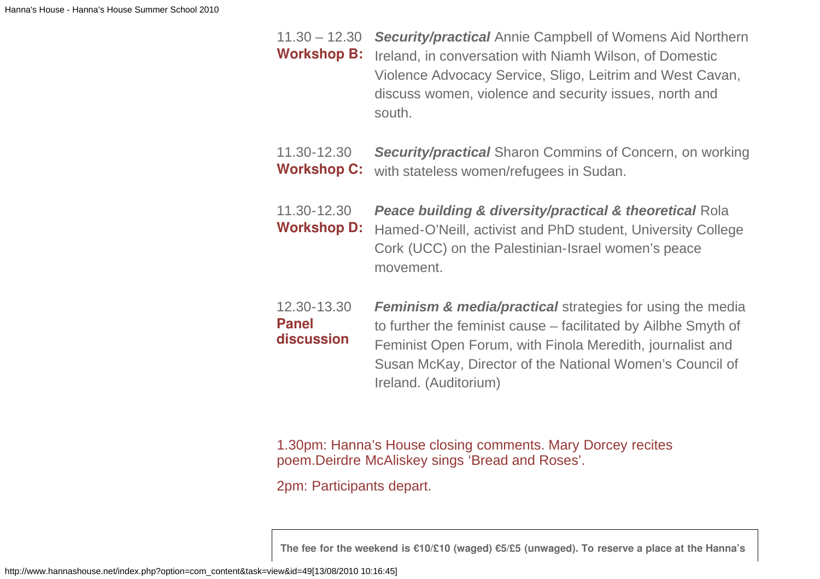- 11.30 12.30 *Security/practical* Annie Campbell of Womens Aid Northern Workshop B: Ireland, in conversation with Niamh Wilson, of Domestic Violence Advocacy Service, Sligo, Leitrim and West Cavan, discuss women, violence and security issues, north and south.
- 11.30-12.30 Workshop C: with stateless women/refugees in Sudan. *Security/practical* Sharon Commins of Concern, on working
- 11.30-12.30 **Workshop D:** *Peace building & diversity/practical & theoretical* Rola Hamed-O'Neill, activist and PhD student, University College Cork (UCC) on the Palestinian-Israel women's peace movement.
- 12.30-13.30 **Panel discussion** *Feminism & media/practical* strategies for using the media to further the feminist cause – facilitated by Ailbhe Smyth of Feminist Open Forum, with Finola Meredith, journalist and Susan McKay, Director of the National Women's Council of Ireland. (Auditorium)

1.30pm: Hanna's House closing comments. Mary Dorcey recites poem.Deirdre McAliskey sings 'Bread and Roses'.

2pm: Participants depart.

**The fee for the weekend is €10/£10 (waged) €5/£5 (unwaged). To reserve a place at the Hanna's**